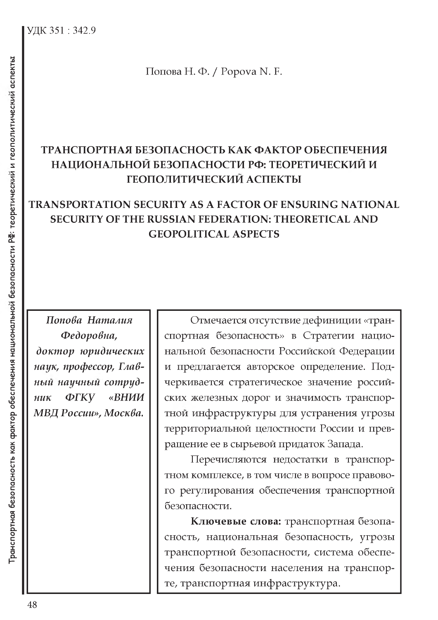Попова Н. Ф. / Popova N. F.

## ТРАНСПОРТНАЯ БЕЗОПАСНОСТЬ КАК ФАКТОР ОБЕСПЕЧЕНИЯ НАЦИОНАЛЬНОЙ БЕЗОПАСНОСТИ РФ: ТЕОРЕТИЧЕСКИЙ И **ГЕОПОЛИТИЧЕСКИЙ АСПЕКТЫ**

## **TRANSPORTATION SECURITY AS A FACTOR OF ENSURING NATIONAL SECURITY OF THE RUSSIAN FEDERATION: THEORETICAL AND GEOPOLITICAL ASPECTS**

Попова Наталия Федоровна, доктор юридических наук, профессор, Главный научный сотруд-ФГКУ «ВНИИ  $H u K$ МВД России», Москва.

Отмечается отсутствие дефиниции «транспортная безопасность» в Стратегии национальной безопасности Российской Федерации и предлагается авторское определение. Подчеркивается стратегическое значение российских железных дорог и значимость транспортной инфраструктуры для устранения угрозы территориальной целостности России и превращение ее в сырьевой придаток Запада.

Перечисляются недостатки в транспортном комплексе, в том числе в вопросе правового регулирования обеспечения транспортной безопасности.

Ключевые слова: транспортная безопасность, национальная безопасность, угрозы транспортной безопасности, система обеспечения безопасности населения на транспорте, транспортная инфраструктура.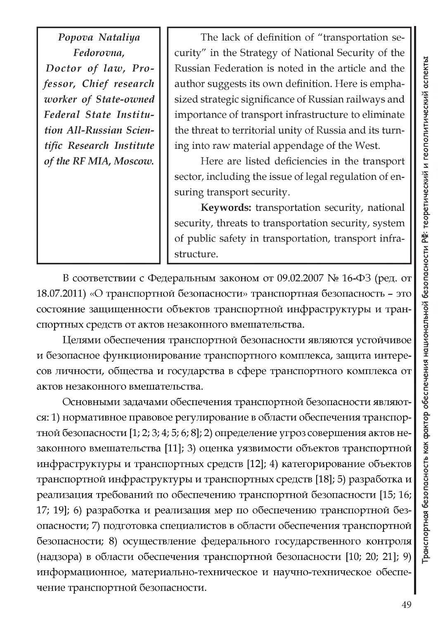*Popova Nataliya Fedorovna, Doctor of law, Professor, Chief research worker of State-owned Federal State Institution All-Russian Scientific Research Institute of the RF MIA, Moscow.*

The lack of definition of "transportation security" in the Strategy of National Security of the Russian Federation is noted in the article and the author suggests its own definition. Here is emphasized strategic significance of Russian railways and importance of transport infrastructure to eliminate the threat to territorial unity of Russia and its turning into raw material appendage of the West.

Here are listed deficiencies in the transport sector, including the issue of legal regulation of ensuring transport security.

**Keywords:** transportation security, national security, threats to transportation security, system of public safety in transportation, transport infrastructure.

В соответствии с Федеральным законом от 09.02.2007 № 16-ФЗ (ред. от 18.07.2011) «О транспортной безопасности» транспортная безопасность - это состояние защищенности объектов транспортной инфраструктуры и транcnopTHbix cpegcTB ot aKToB He3aKoHHoro BMemaTenbCTBa.

Целями обеспечения транспортной безопасности являются устойчивое и безопасное функционирование транспортного комплекса, защита интересов личности, общества и государства в сфере транспортного комплекса от aKToB He3aKoHHoro BMemaTenbCTBa.

Основными задачами обеспечения транспортной безопасности являются: 1) нормативное правовое регулирование в области обеспечения транспортной безопасности  $[1; 2; 3; 4; 5; 6; 8]$ ; 2) определение угроз совершения актов незаконного вмешательства [11]; 3) оценка уязвимости объектов транспортной инфраструктуры и транспортных средств [12]; 4) категорирование объектов транспортной инфраструктуры и транспортных средств [18]; 5) разработка и реализация требований по обеспечению транспортной безопасности [15; 16; 17; 19]; 6) разработка и реализация мер по обеспечению транспортной безопасности; 7) подготовка специалистов в области обеспечения транспортной безопасности; 8) осуществление федерального государственного контроля (надзора) в области обеспечения транспортной безопасности [10; 20; 21]; 9) информационное, материально-техническое и научно-техническое обеспечение транспортной безопасности.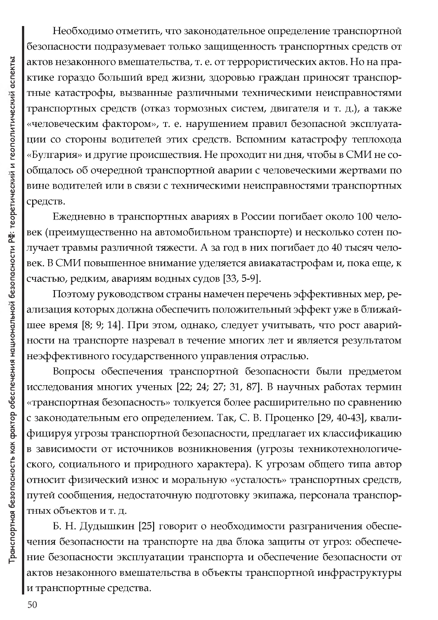Необходимо отметить, что законодательное определение транспортной безопасности подразумевает только защищенность транспортных средств от актов незаконного вмешательства, т. е. от террористических актов. Но на практике гораздо больший вред жизни, здоровью граждан приносят транспортные катастрофы, вызванные различными техническими неисправностями транспортных средств (отказ тормозных систем, двигателя и т. д.), а также «человеческим фактором», т. е. нарушением правил безопасной эксплуатации со стороны водителей этих средств. Вспомним катастрофу теплохода «Булгария» и другие происшествия. Не проходит ни дня, чтобы в СМИ не сообщалось об очередной транспортной аварии с человеческими жертвами по вине водителей или в связи с техническими неисправностями транспортных средств.

Ежедневно в транспортных авариях в России погибает около 100 человек (преимущественно на автомобильном транспорте) и несколько сотен получает травмы различной тяжести. А за год в них погибает до 40 тысяч человек. В СМИ повышенное внимание уделяется авиакатастрофам и, пока еще, к счастью, редким, авариям водных судов [33, 5-9].

Поэтому руководством страны намечен перечень эффективных мер, реализация которых должна обеспечить положительный эффект уже в ближайшее время [8; 9; 14]. При этом, однако, следует учитывать, что рост аварийности на транспорте назревал в течение многих лет и является результатом неэффективного государственного управления отраслью.

Вопросы обеспечения транспортной безопасности были предметом исследования многих ученых [22; 24; 27; 31, 87]. В научных работах термин «транспортная безопасность» толкуется более расширительно по сравнению с законодательным его определением. Так, С. В. Проценко [29, 40-43], квалифицируя угрозы транспортной безопасности, предлагает их классификацию в зависимости от источников возникновения (угрозы техникотехнологического, социального и природного характера). К угрозам общего типа автор относит физический износ и моральную «усталость» транспортных средств, путей сообщения, недостаточную подготовку экипажа, персонала транспортных объектов и т. д.

Б. Н. Дудышкин [25] говорит о необходимости разграничения обеспечения безопасности на транспорте на два блока защиты от угроз: обеспечение безопасности эксплуатации транспорта и обеспечение безопасности от актов незаконного вмешательства в объекты транспортной инфраструктуры и транспортные средства.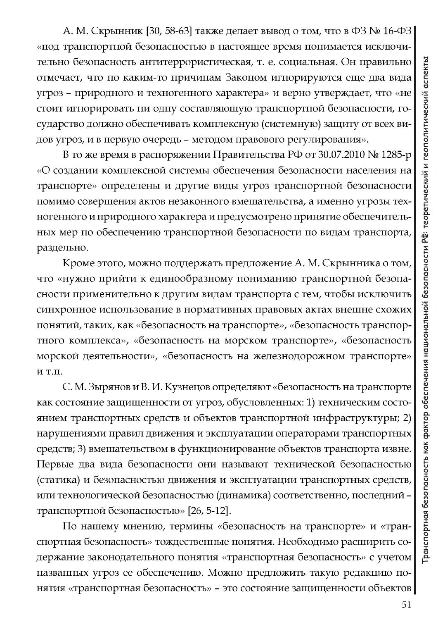А. М. Скрынник [30, 58-63] также делает вывод о том, что в ФЗ № 16-ФЗ | «под транспортной безопасностью в настоящее время понимается исключительно безопасность антитеррористическая, т. е. социальная. Он правильно отмечает, что по каким-то причинам Законом игнорируются еще два вида угроз - природного и техногенного характера» и верно утверждает, что «не стоит игнорировать ни одну составляющую транспортной безопасности, государство должно обеспечивать комплексную (системную) защиту от всех видов угроз, и в первую очередь - методом правового регулирования».

В то же время в распоряжении Правительства РФ от 30.07.2010 № 1285-р «О создании комплексной системы обеспечения безопасности населения на транспорте» определены и другие виды угроз транспортной безопасности помимо совершения актов незаконного вмешательства, а именно угрозы техногенного и природного характера и предусмотрено принятие обеспечительных мер по обеспечению транспортной безопасности по видам транспорта, раздельно.

Кроме этого, можно поддержать предложение А. М. Скрынника о том, что «нужно прийти к единообразному пониманию транспортной безопасности применительно к другим видам транспорта с тем, чтобы исключить синхронное использование в нормативных правовых актах внешне схожих понятий, таких, как «безопасность на транспорте», «безопасность транспортного комплекса», «безопасность на морском транспорте», «безопасность морской деятельности», «безопасность на железнодорожном транспорте»  $M$  T.H.

С. М. Зырянов и В. И. Кузнецов определяют «безопасность на транспорте как состояние защищенности от угроз, обусловленных: 1) техническим состоянием транспортных средств и объектов транспортной инфраструктуры; 2) нарушениями правил движения и эксплуатации операторами транспортных средств; 3) вмешательством в функционирование объектов транспорта извне. Первые два вида безопасности они называют технической безопасностью (статика) и безопасностью движения и эксплуатации транспортных средств, или технологической безопасностью (динамика) соответственно, последний транспортной безопасностью» [26, 5-12].

По нашему мнению, термины «безопасность на транспорте» и «транспортная безопасность» тождественные понятия. Необходимо расширить содержание законодательного понятия «транспортная безопасность» с учетом названных угроз ее обеспечению. Можно предложить такую редакцию понятия «транспортная безопасность» - это состояние защищенности объектов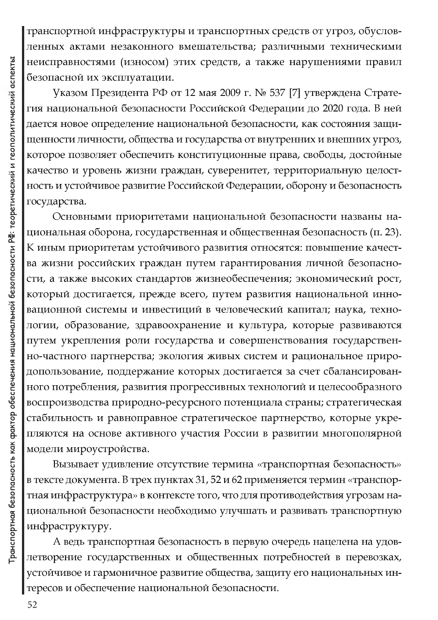транспортной инфраструктуры и транспортных средств от угроз, обусловленных актами незаконного вмешательства; различными техническими неисправностями (износом) этих средств, а также нарушениями правил безопасной их эксплуатации.

Указом Президента РФ от 12 мая 2009 г. № 537 [7] утверждена Стратегия национальной безопасности Российской Федерации до 2020 года. В ней дается новое определение национальной безопасности, как состояния защищенности личности, общества и государства от внутренних и внешних угроз, которое позволяет обеспечить конституционные права, свободы, достойные качество и уровень жизни граждан, суверенитет, территориальную целостность и устойчивое развитие Российской Федерации, оборону и безопасность государства.

Основными приоритетами национальной безопасности названы национальная оборона, государственная и общественная безопасность (п. 23). К иным приоритетам устойчивого развития относятся: повышение качества жизни российских граждан путем гарантирования личной безопасности, а также высоких стандартов жизнеобеспечения; экономический рост, который достигается, прежде всего, путем развития национальной инновационной системы и инвестиций в человеческий капитал; наука, технологии, образование, здравоохранение и культура, которые развиваются путем укрепления роли государства и совершенствования государственно-частного партнерства; экология живых систем и рациональное природопользование, поддержание которых достигается за счет сбалансированного потребления, развития прогрессивных технологий и целесообразного воспроизводства природно-ресурсного потенциала страны; стратегическая стабильность и равноправное стратегическое партнерство, которые укрепляются на основе активного участия России в развитии многополярной модели мироустройства.

Вызывает удивление отсутствие термина «транспортная безопасность» в тексте документа. В трех пунктах 31, 52 и 62 применяется термин «транспортная инфраструктура» в контексте того, что для противодействия угрозам национальной безопасности необходимо улучшать и развивать транспортную инфраструктуру.

А ведь транспортная безопасность в первую очередь нацелена на удовлетворение государственных и общественных потребностей в перевозках, устойчивое и гармоничное развитие общества, защиту его национальных интересов и обеспечение национальной безопасности.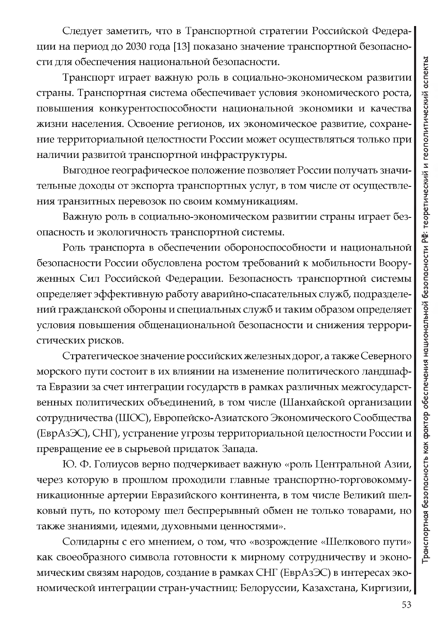Следует заметить, что в Транспортной стратегии Российской Федерации на период до 2030 года [13] показано значение транспортной безопасности для обеспечения национальной безопасности.

Транспорт играет важную роль в социально-экономическом развитии страны. Транспортная система обеспечивает условия экономического роста, повышения конкурентоспособности национальной экономики и качества жизни населения. Освоение регионов, их экономическое развитие, сохранение территориальной целостности России может осуществляться только при наличии развитой транспортной инфраструктуры.

Выгодное географическое положение позволяет России получать значительные доходы от экспорта транспортных услуг, в том числе от осуществления транзитных перевозок по своим коммуникациям.

Важную роль в социально-экономическом развитии страны играет безопасность и экологичность транспортной системы.

Роль транспорта в обеспечении обороноспособности и национальной безопасности России обусловлена ростом требований к мобильности Вооруженных Сил Российской Федерации. Безопасность транспортной системы определяет эффективную работу аварийно-спасательных служб, подразделений гражданской обороны и специальных служб и таким образом определяет условия повышения общенациональной безопасности и снижения террористических рисков.

Стратегическое значение российских железных дорог, а также Северного морского пути состоит в их влиянии на изменение политического ландшафта Евразии за счет интеграции государств в рамках различных межгосударственных политических объединений, в том числе (Шанхайской организации сотрудничества (ШОС), Европейско-Азиатского Экономического Сообщества (ЕврАзЭС), СНГ), устранение угрозы территориальной целостности России и превращение ее в сырьевой придаток Запада.

Ю. Ф. Голиусов верно подчеркивает важную «роль Центральной Азии, через которую в прошлом проходили главные транспортно-торговокоммуникационные артерии Евразийского континента, в том числе Великий шелковый путь, по которому шел беспрерывный обмен не только товарами, но также знаниями, идеями, духовными ценностями».

Солидарны с его мнением, о том, что «возрождение «Шелкового пути» как своеобразного символа готовности к мирному сотрудничеству и экономическим связям народов, создание в рамках СНГ (ЕврАзЭС) в интересах экономической интеграции стран-участниц: Белоруссии, Казахстана, Киргизии,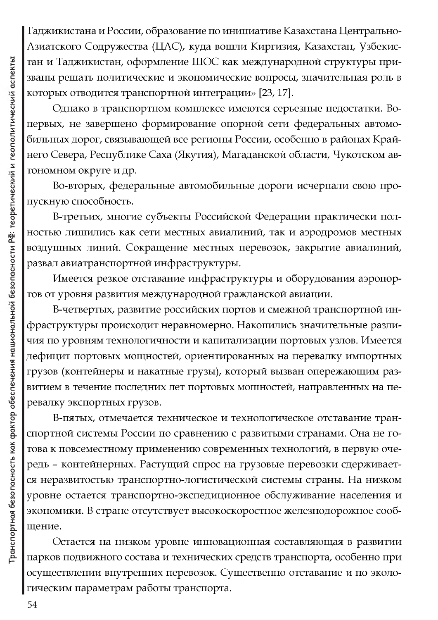Таджикистана и России, образование по инициативе Казахстана Центрально-Азиатского Содружества (ЦАС), куда вошли Киргизия, Казахстан, Узбекистан и Таджикистан, оформление ШОС как международной структуры призваны решать политические и экономические вопросы, значительная роль в которых отводится транспортной интеграции» [23, 17].

Однако в транспортном комплексе имеются серьезные недостатки. Вопервых, не завершено формирование опорной сети федеральных автомобильных дорог, связывающей все регионы России, особенно в районах Крайнего Севера, Республике Саха (Якутия), Магаданской области, Чукотском автономном округе и др.

Во-вторых, федеральные автомобильные дороги исчерпали свою пропускную способность.

В-третьих, многие субъекты Российской Федерации практически полностью лишились как сети местных авиалиний, так и аэродромов местных воздушных линий. Сокращение местных перевозок, закрытие авиалиний, развал авиатранспортной инфраструктуры.

Имеется резкое отставание инфраструктуры и оборудования аэропортов от уровня развития международной гражданской авиации.

В-четвертых, развитие российских портов и смежной транспортной инфраструктуры происходит неравномерно. Накопились значительные различия по уровням технологичности и капитализации портовых узлов. Имеется дефицит портовых мощностей, ориентированных на перевалку импортных грузов (контейнеры и накатные грузы), который вызван опережающим развитием в течение последних лет портовых мощностей, направленных на перевалку экспортных грузов.

В-пятых, отмечается техническое и технологическое отставание транспортной системы России по сравнению с развитыми странами. Она не готова к повсеместному применению современных технологий, в первую очередь - контейнерных. Растущий спрос на грузовые перевозки сдерживается неразвитостью транспортно-логистической системы страны. На низком уровне остается транспортно-экспедиционное обслуживание населения и экономики. В стране отсутствует высокоскоростное железнодорожное сообщение.

Остается на низком уровне инновационная составляющая в развитии парков подвижного состава и технических средств транспорта, особенно при осуществлении внутренних перевозок. Существенно отставание и по экологическим параметрам работы транспорта.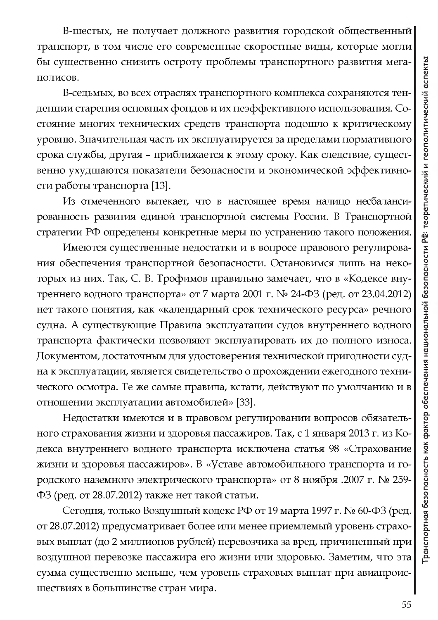В-шестых, не получает должного развития городской общественный транспорт, в том числе его современные скоростные виды, которые могли бы существенно снизить остроту проблемы транспортного развития мегаполисов.

В-седьмых, во всех отраслях транспортного комплекса сохраняются тенденции старения основных фондов и их неэффективного использования. Состояние многих технических средств транспорта подошло к критическому уровню. Значительная часть их эксплуатируется за пределами нормативного срока службы, другая - приближается к этому сроку. Как следствие, существенно ухудшаются показатели безопасности и экономической эффективности работы транспорта [13].

Из отмеченного вытекает, что в настоящее время налицо несбалансированность развития единой транспортной системы России. В Транспортной стратегии РФ определены конкретные меры по устранению такого положения.

Имеются существенные недостатки и в вопросе правового регулирования обеспечения транспортной безопасности. Остановимся лишь на некоторых из них. Так, С. В. Трофимов правильно замечает, что в «Кодексе внутреннего водного транспорта» от 7 марта 2001 г. № 24-ФЗ (ред. от 23.04.2012) нет такого понятия, как «календарный срок технического ресурса» речного судна. А существующие Правила эксплуатации судов внутреннего водного транспорта фактически позволяют эксплуатировать их до полного износа. Документом, достаточным для удостоверения технической пригодности судна к эксплуатации, является свидетельство о прохождении ежегодного технического осмотра. Те же самые правила, кстати, действуют по умолчанию и в отношении эксплуатации автомобилей» [33].

Недостатки имеются и в правовом регулировании вопросов обязательного страхования жизни и здоровья пассажиров. Так, с 1 января 2013 г. из Кодекса внутреннего водного транспорта исключена статья 98 «Страхование жизни и здоровья пассажиров». В «Уставе автомобильного транспорта и городского наземного электрического транспорта» от 8 ноября .2007 г. № 259- $\Phi$ 3 (ред. от 28.07.2012) также нет такой статьи.

Сегодня, только Воздушный кодекс РФ от 19 марта 1997 г. № 60-ФЗ (ред. от 28.07.2012) предусматривает более или менее приемлемый уровень страховых выплат (до 2 миллионов рублей) перевозчика за вред, причиненный при воздушной перевозке пассажира его жизни или здоровью. Заметим, что эта сумма существенно меньше, чем уровень страховых выплат при авиапроисшествиях в большинстве стран мира.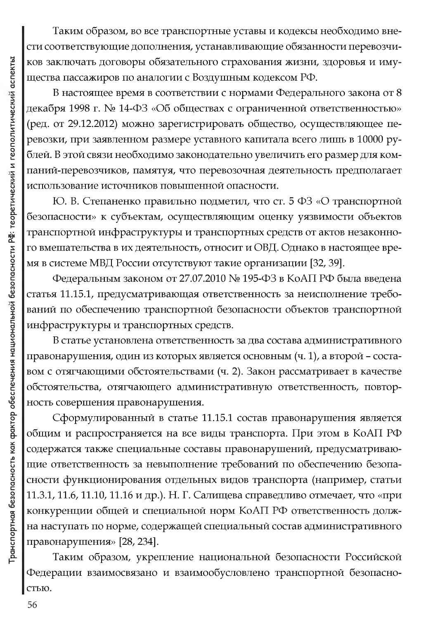Таким образом, во все транспортные уставы и кодексы необходимо внести соответствующие дополнения, устанавливающие обязанности перевозчиков заключать договоры обязательного страхования жизни, здоровья и имущества пассажиров по аналогии с Воздушным кодексом РФ.

В настоящее время в соответствии с нормами Федерального закона от 8 декабря 1998 г. № 14-ФЗ «Об обществах с ограниченной ответственностью» (ред. от 29.12.2012) можно зарегистрировать общество, осуществляющее перевозки, при заявленном размере уставного капитала всего лишь в 10000 рублей. В этой связи необходимо законодательно увеличить его размер для компаний-перевозчиков, памятуя, что перевозочная деятельность предполагает использование источников повышенной опасности.

Ю. В. Степаненко правильно подметил, что ст. 5 ФЗ «О транспортной безопасности» к субъектам, осуществляющим оценку уязвимости объектов транспортной инфраструктуры и транспортных средств от актов незаконного вмешательства в их деятельность, относит и ОВД. Однако в настоящее время в системе МВД России отсутствуют такие организации [32, 39].

Федеральным законом от 27.07.2010 № 195-ФЗ в КоАП РФ была введена статья 11.15.1, предусматривающая ответственность за неисполнение требований по обеспечению транспортной безопасности объектов транспортной инфраструктуры и транспортных средств.

В статье установлена ответственность за два состава административного правонарушения, один из которых является основным (ч. 1), а второй – составом с отягчающими обстоятельствами (ч. 2). Закон рассматривает в качестве обстоятельства, отягчающего административную ответственность, повторность совершения правонарушения.

Сформулированный в статье 11.15.1 состав правонарушения является общим и распространяется на все виды транспорта. При этом в КоАП РФ содержатся также специальные составы правонарушений, предусматривающие ответственность за невыполнение требований по обеспечению безопасности функционирования отдельных видов транспорта (например, статьи 11.3.1, 11.6, 11.10, 11.16 и др.). Н. Г. Салищева справедливо отмечает, что «при конкуренции общей и специальной норм КоАП РФ ответственность должна наступать по норме, содержащей специальный состав административного правонарушения» [28, 234].

Таким образом, укрепление национальной безопасности Российской Федерации взаимосвязано и взаимообусловлено транспортной безопасностью.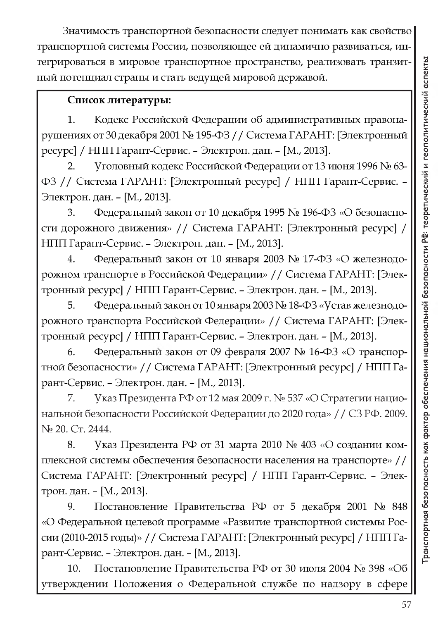Значимость транспортной безопасности следует понимать как свойство транспортной системы России, позволяющее ей динамично развиваться, интегрироваться в мировое транспортное пространство, реализовать транзитный потенциал страны и стать ведущей мировой державой.

## Список литературы:

Кодекс Российской Федерации об административных правона-1. рушениях от 30 декабря 2001 № 195-ФЗ // Система ГАРАНТ: [Электронный ресурс] / НПП Гарант-Сервис. – Электрон. дан. – [М., 2013].

 $2.$ Уголовный кодекс Российской Федерации от 13 июня 1996 № 63-ФЗ // Система ГАРАНТ: [Электронный ресурс] / НПП Гарант-Сервис. -Электрон. дан. - [М., 2013].

Федеральный закон от 10 декабря 1995 № 196-ФЗ «О безопасно-3. сти дорожного движения» // Система ГАРАНТ: [Электронный ресурс] / НПП Гарант-Сервис. - Электрон. дан. - [М., 2013].

Федеральный закон от 10 января 2003 № 17-ФЗ «О железнодо-4. рожном транспорте в Российской Федерации» // Система ГАРАНТ: [Электронный ресурс] / НПП Гарант-Сервис. - Электрон. дан. - [М., 2013].

Федеральный закон от 10 января 2003 № 18-ФЗ «Устав железнодо-5. рожного транспорта Российской Федерации» // Система ГАРАНТ: [Электронный ресурс] / НПП Гарант-Сервис. - Электрон. дан. - [М., 2013].

Федеральный закон от 09 февраля 2007 № 16-ФЗ «О транспор-6. тной безопасности» // Система ГАРАНТ: [Электронный ресурс] / НПП Гарант-Сервис. - Электрон. дан. - [М., 2013].

Указ Президента РФ от 12 мая 2009 г. № 537 «О Стратегии нацио-7. нальной безопасности Российской Федерации до 2020 года» // СЗ РФ. 2009. № 20. Ст. 2444.

Указ Президента РФ от 31 марта 2010 № 403 «О создании ком-8. плексной системы обеспечения безопасности населения на транспорте» // Система ГАРАНТ: [Электронный ресурс] / НПП Гарант-Сервис. - Электрон. дан. - [М., 2013].

Постановление Правительства РФ от 5 декабря 2001 № 848 9. «О Федеральной целевой программе «Развитие транспортной системы России (2010-2015 годы)» // Система ГАРАНТ: [Электронный ресурс] / НПП Гарант-Сервис. - Электрон. дан. - [М., 2013].

Постановление Правительства РФ от 30 июля 2004 № 398 «Об 10. утверждении Положения о Федеральной службе по надзору в сфере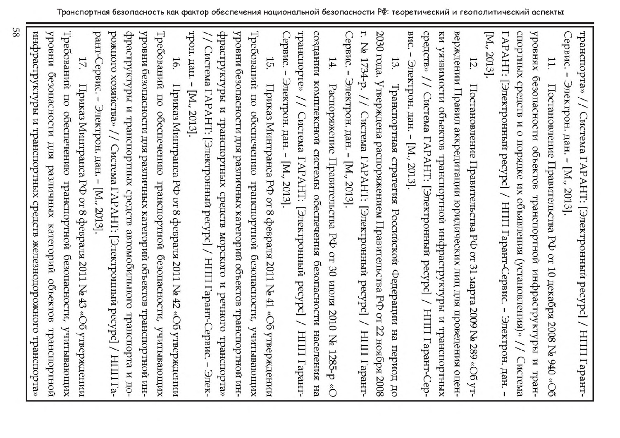инфрасльдахил и пранспортных средств железнодорожного пранспорта» инаоду Требований рант-Сервис. - Электрон. дан. - [М., 2013]. 17. безопасности Приказ Минтранса РФ от 8 февраля 2011 № 43 ПO обеспечению  $\mathbf{R}\mathbf{R}$ различных категорий понтаризнет безопасности, объектов «Об утверждении хишованник транспортной

рожного хозяйства» // Система ГАРАНТ: [Электронный ресурс] / НІІІ Гаод и втопление отонапортных средств автомобильного транспорта и доуровни безопасности для различных категорий объектов транспортной ин-Требований по обеспечению транспортной безопасности, учитывающих 16. Приказ Минтранса РФ от 8 февраля 2011 № 42 «Об утверждении

трон. дан. - [М., 2013]. драструктуры и транспортных средств морского и речного транспорта» уровни безопасности для различных категорий объектов транспортной ин-Требований по обеспечению транспортной безопасности, учитывающих Система ГАРАНТ: [Электронный ресурс] / НІПІ Гарант-Сервис. 15. Приказ Минтранса РФ от 8 февраля 2011 № 41 «Об утверждении  $\mathbf I$ Элек-

Сервис. - Электрон. дан. - [М., 2013]. транспорте» // Система ГАРАНТ: [Электронный ресурс] / НПП Гарантсоздании комплексной системы обеспечения безопасности населения 14.

CepBNC.г. № 1734-р. // Система ГАРАНТ: [Электронный ресурс] / Электрон. дан. - [М., 2013]. Распоряжение Правительства РФ от 30 июля 2010 № 1285-р «О НПП Гарант-

Hа

2030 года. Утверждена распоряжением Правительства РФ от 22 ноября 2008 13. Транспортная стратегия Российской Федерации на период до вис. - Электрон. дан. - [М., 2013].

средств» // Система ГАРАНТ: [Электронный ресурс] / НПП Гарант-Сер-

ки уязвилости объектов транспортной инфраструктуры и транспортных

верждении Правил аккредитации юридических лиц для проведения оцен-

Постановление Правительства РФ от 31 марта 2009 № 289 «Об

YT-

спортных средств и о порядке их объявления (установления)» // Система

|Электронный ресурс] / НПП Гарант-Сервис.

 $\mathbf I$ 

Электрон. дан.

 $\mathbf{I}$ 

TAPAHT:

[M., 2013].

12.

уровнях безопасности объектов транспортной инфраструктуры и тран-

Постановление Правительства РФ от 10 декабря 2008 № 940 «Об

транспорта» // Система ГАРАНТ: [Электронный ресурс] / НПП Гарант-

Сервис.

 $\mathbf{I}$ 

Электрон. дан. - [М., 2013].

11.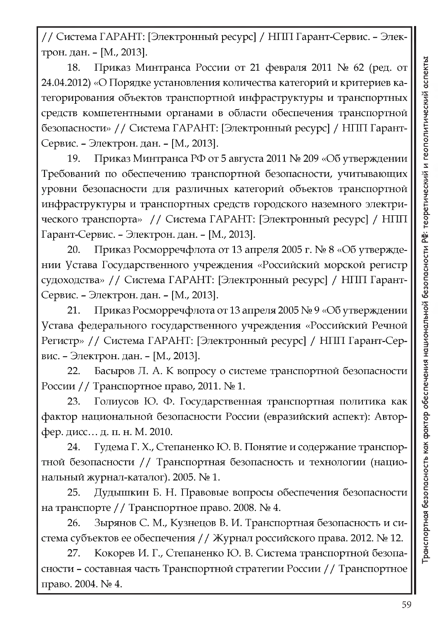// Система ГАРАНТ: [Электронный ресурс] / НПП Гарант-Сервис. - Элек-TpoH. gaH. - [M., 2013].

18. Приказ Минтранса России от 21 февраля 2011 № 62 (ред. от 24.04.2012) «О Порядке установления количества категорий и критериев категорирования объектов транспортной инфраструктуры и транспортных средств компетентными органами в области обеспечения транспортной безопасности» // Система ГАРАНТ: [Электронный ресурс] / НПП Гарант-Сервис. - Электрон. дан. - [М., 2013].

19. Приказ Минтранса РФ от 5 августа 2011 № 209 «Об утверждении Требований по обеспечению транспортной безопасности, учитывающих уровни безопасности для различных категорий объектов транспортной инфраструктуры и транспортных средств городского наземного электрического транспорта» // Система ГАРАНТ: [Электронный ресурс] / НПП Гарант-Сервис. - Электрон. дан. - [М., 2013].

20. Приказ Росморречфлота от 13 апреля 2005 г. № 8 «Об утверждении Устава Государственного учреждения «Российский морской регистр судоходства» // Система ГАРАНТ: [Электронный ресурс] / НПП Гарант-Сервис. - Электрон. дан. - [М., 2013].

21. Приказ Росморречфлота от 13 апреля 2005 № 9 «Об утверждении Устава федерального государственного учреждения «Российский Речной Регистр» // Система ГАРАНТ: [Электронный ресурс] / НПП Гарант-Сервис. - Электрон. дан. - [М., 2013].

22. Басыров Л. А. К вопросу о системе транспортной безопасности России // Транспортное право, 2011. №1.

23. Голиусов Ю. Ф. Государственная транспортная политика как фактор национальной безопасности России (евразийский аспект): Авторфер. дисс... д. п. н. М. 2010.

24. Гудема Г. Х., Степаненко Ю. В. Понятие и содержание транспортной безопасности // Транспортная безопасность и технологии (национальный журнал-каталог). 2005. № 1.

25. Дудышкин Б. Н. Правовые вопросы обеспечения безопасности на транспорте // Транспортное право. 2008. № 4.

26. Зырянов С. М., Кузнецов В. И. Транспортная безопасность и система субъектов ее обеспечения / / Журнал российского права. 2012. № 12.

27. Кокорев И. Г., Степаненко Ю. В. Система транспортной безопасности - составная часть Транспортной стратегии России // Транспортное право. 2004. № 4.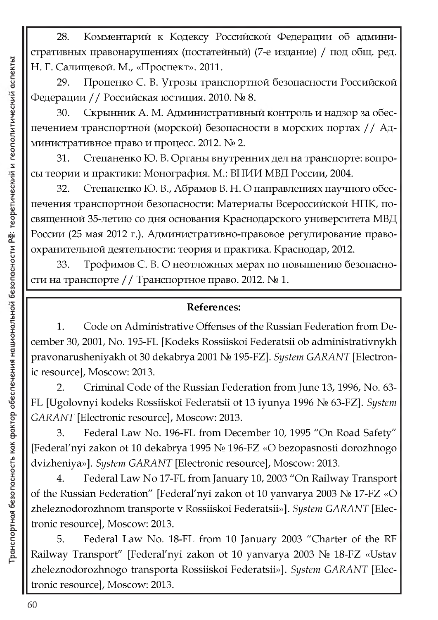Проценко С. В. Угрозы транспортной безопасности Российской 29. Федерации // Российская юстиция. 2010. № 8.

Скрынник А. М. Административный контроль и надзор за обес-30. печением транспортной (морской) безопасности в морских портах // Административное право и процесс. 2012. № 2.

Степаненко Ю. В. Органы внутренних дел на транспорте: вопро-31. сы теории и практики: Монография. М.: ВНИИ МВД России, 2004.

Степаненко Ю. В., Абрамов В. Н. О направлениях научного обес-32. печения транспортной безопасности: Материалы Всероссийской НПК, посвященной 35-летию со дня основания Краснодарского университета МВД России (25 мая 2012 г.). Административно-правовое регулирование правоохранительной деятельности: теория и практика. Краснодар, 2012.

Трофимов С. В. О неотложных мерах по повышению безопасно-33. сти на транспорте // Транспортное право. 2012. № 1.

## **References:**

Code on Administrative Offenses of the Russian Federation from De-1. cember 30, 2001, No. 195-FL [Kodeks Rossiiskoi Federatsii ob administrativnykh pravonarusheniyakh ot 30 dekabrya 2001 Nº 195-FZ]. System GARANT [Electronic resource], Moscow: 2013.

Criminal Code of the Russian Federation from June 13, 1996, No. 63- $2.$ FL [Ugolovnyi kodeks Rossiiskoi Federatsii ot 13 iyunya 1996 № 63-FZ]. System GARANT [Electronic resource], Moscow: 2013.

Federal Law No. 196-FL from December 10, 1995 "On Road Safety" 3. [Federal'nyi zakon ot 10 dekabrya 1995 No 196-FZ «O bezopasnosti dorozhnogo dvizheniya»]. System GARANT [Electronic resource], Moscow: 2013.

Federal Law No 17-FL from January 10, 2003 "On Railway Transport 4. of the Russian Federation" [Federal'nyi zakon ot 10 yanvarya 2003 No 17-FZ «O zheleznodorozhnom transporte v Rossiiskoi Federatsii»]. System GARANT [Electronic resource], Moscow: 2013.

Federal Law No. 18-FL from 10 January 2003 "Charter of the RF 5. Railway Transport" [Federal'nyi zakon ot 10 yanvarya 2003 № 18-FZ «Ustav zheleznodorozhnogo transporta Rossiiskoi Federatsii»]. System GARANT [Electronic resource], Moscow: 2013.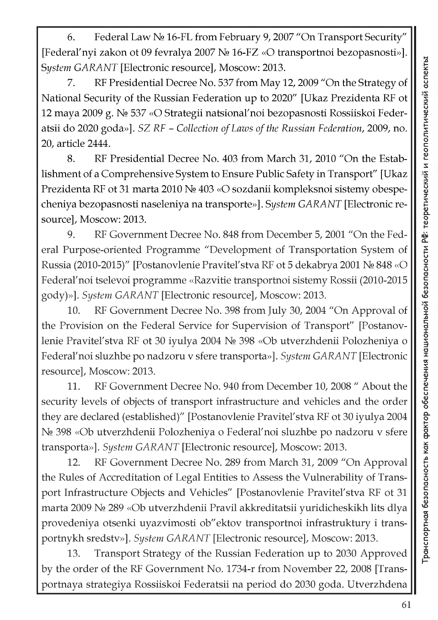6. Federal Law No 16-FL from February 9, 2007 "On Transport Security" [Federal'nyi zakon ot 09 fevralya 2007 No 16-FZ «O transportnoi bezopasnosti»]. *System GARANT* [Electronic resource], Moscow: 2013.

7. RF Presidential Decree No. 537 from May 12, 2009 "On the Strategy of National Security of the Russian Federation up to 2020" [Ukaz Prezidenta RF ot 12 maya 2009 g. No 537 «O Strategii natsional'noi bezopasnosti Rossiiskoi Federatsii do 2020 goda»]. *SZ RF - Collection of Laws of the Russian Federation*, 2009, no. 20, article 2444.

8. RF Presidential Decree No. 403 from March 31, 2010 "On the Establishment of a Comprehensive System to Ensure Public Safety in Transport" [Ukaz Prezidenta RF ot 31 marta 2010 No 403 «O sozdanii kompleksnoi sistemy obespecheniya bezopasnosti naseleniya na transporte»]. *System GARANT* [Electronic resource], Moscow: 2013.

9. RF Government Decree No. 848 from December 5, 2001 "On the Federal Purpose-oriented Programme "Development of Transportation System of Russia (2010-2015)" [Postanovlenie Pravitel'stva RF ot 5 dekabrya 2001 No 848 «O Federal'noi tselevoi programme «Razvitie transportnoi sistemy Rossii (2010-2015 gody)»]. *System GARANT* [Electronic resource], Moscow: 2013.

10. RF Government Decree No. 398 from July 30, 2004 "On Approval of the Provision on the Federal Service for Supervision of Transport" [Postanovlenie Pravitel'stva RF ot 30 iyulya 2004 No 398 «Ob utverzhdenii Polozheniya o Federal'noi sluzhbe po nadzoru v sfere transporta»]. *System GARANT* [Electronic resource], Moscow: 2013.

11. RF Government Decree No. 940 from December 10, 2008 " About the security levels of objects of transport infrastructure and vehicles and the order they are declared (established)" [Postanovlenie Pravitel'stva RF ot 30 iyulya 2004 No 398 «Ob utverzhdenii Polozheniya o Federal'noi sluzhbe po nadzoru v sfere transporta»]. *System GARANT* [Electronic resource], Moscow: 2013.

12. RF Government Decree No. 289 from March 31, 2009 "On Approval the Rules of Accreditation of Legal Entities to Assess the Vulnerability of Transport Infrastructure Objects and Vehicles" [Postanovlenie Pravitel'stva RF ot 31 marta 2009 No 289 «Ob utverzhdenii Pravil akkreditatsii yuridicheskikh lits dlya provedeniya otsenki uyazvimosti ob"ektov transportnoi infrastruktury i transportnykh sredstv»]. *System GARANT* [Electronic resource], Moscow: 2013.

13. Transport Strategy of the Russian Federation up to 2030 Approved by the order of the RF Government No. 1734-r from November 22, 2008 [Transportnaya strategiya Rossiiskoi Federatsii na period do 2030 goda. Utverzhdena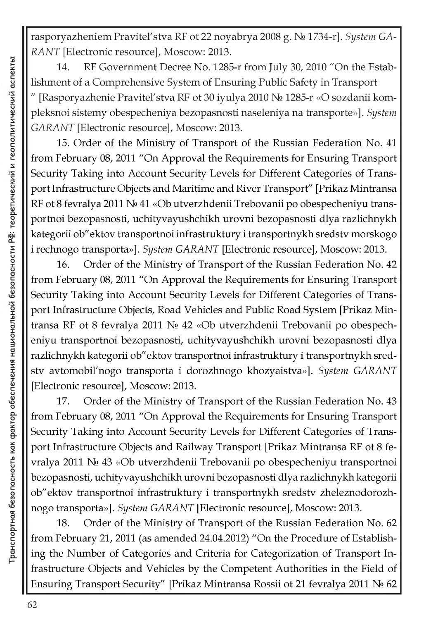rasporyazheniem Pravitel'stva RF ot 22 noyabrya 2008 g. No 1734-r]. *System GA-RANT* [Electronic resource], Moscow: 2013.

14. RF Government Decree No. 1285-r from July 30, 2010 "On the Establishment of a Comprehensive System of Ensuring Public Safety in Transport [Rasporyazhenie Pravitel'stva RF ot 30 iyulya 2010 № 1285-r «O sozdanii kompleksnoi sistemy obespecheniya bezopasnosti naseleniya na transporte»]. *System GARANT* [Electronic resource], Moscow: 2013.

15. Order of the Ministry of Transport of the Russian Federation No. 41 from February 08, 2011 "On Approval the Requirements for Ensuring Transport Security Taking into Account Security Levels for Different Categories of Transport Infrastructure Objects and Maritime and River Transport" [Prikaz Mintransa RF ot 8 fevralya 2011 No 41 «Ob utverzhdenii Trebovanii po obespecheniyu transportnoi bezopasnosti, uchityvayushchikh urovni bezopasnosti dlya razlichnykh kategorii ob"ektov transportnoi infrastruktury i transportnykh sredstv morskogo i rechnogo transporta»]. *System GARANT* [Electronic resource], Moscow: 2013.

16. Order of the Ministry of Transport of the Russian Federation No. 42 from February 08, 2011 "On Approval the Requirements for Ensuring Transport Security Taking into Account Security Levels for Different Categories of Transport Infrastructure Objects, Road Vehicles and Public Road System [Prikaz Mintransa RF ot 8 fevralya 2011 No 42 «Ob utverzhdenii Trebovanii po obespecheniyu transportnoi bezopasnosti, uchityvayushchikh urovni bezopasnosti dlya razlichnykh kategorii ob"ektov transportnoi infrastruktury i transportnykh sredstv avtomobil'nogo transporta i dorozhnogo khozyaistva»]. *System GARANT* [Electronic resource], Moscow: 2013.

17. Order of the Ministry of Transport of the Russian Federation No. 43 from February 08, 2011 "On Approval the Requirements for Ensuring Transport Security Taking into Account Security Levels for Different Categories of Transport Infrastructure Objects and Railway Transport [Prikaz Mintransa RF ot 8 fevralya 2011 No 43 «Ob utverzhdenii Trebovanii po obespecheniyu transportnoi bezopasnosti, uchityvayushchikh urovni bezopasnosti dlya razlichnykh kategorii ob"ektov transportnoi infrastruktury i transportnykh sredstv zheleznodorozhnogo transporta»]. *System GARANT* [Electronic resource], Moscow: 2013.

18. Order of the Ministry of Transport of the Russian Federation No. 62 from February 21, 2011 (as amended 24.04.2012) "On the Procedure of Establishing the Number of Categories and Criteria for Categorization of Transport Infrastructure Objects and Vehicles by the Competent Authorities in the Field of Ensuring Transport Security" [Prikaz Mintransa Rossii ot 21 fevralya 2011 No 62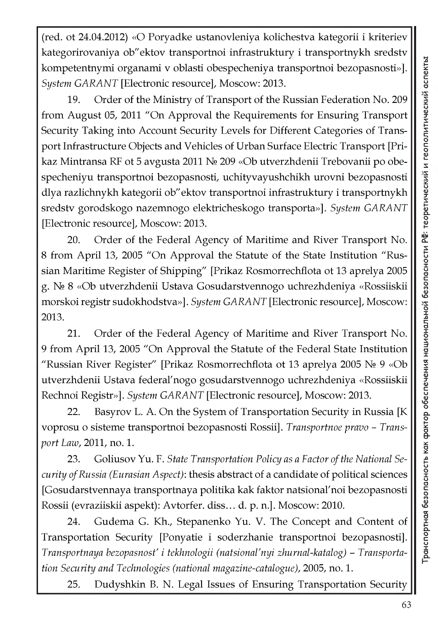(red. ot 24.04.2012) «O Poryadke ustanovleniya kolichestva kategorii i kriteriev kategorirovaniya ob"ektov transportnoi infrastruktury i transportnykh sredstv kompetentnymi organami v oblasti obespecheniya transportnoi bezopasnosti»]. *System GARANT* [Electronic resource], Moscow: 2013.

19. Order of the Ministry of Transport of the Russian Federation No. 209 from August 05, 2011 "On Approval the Requirements for Ensuring Transport Security Taking into Account Security Levels for Different Categories of Transport Infrastructure Objects and Vehicles of Urban Surface Electric Transport [Prikaz Mintransa RF ot 5 avgusta 2011 No 209 «Ob utverzhdenii Trebovanii po obespecheniyu transportnoi bezopasnosti, uchityvayushchikh urovni bezopasnosti dlya razlichnykh kategorii ob"ektov transportnoi infrastruktury i transportnykh sredstv gorodskogo nazemnogo elektricheskogo transporta»]. *System GARANT* [Electronic resource], Moscow: 2013.

20. Order of the Federal Agency of Maritime and River Transport No. 8 from April 13, 2005 "On Approval the Statute of the State Institution "Russian Maritime Register of Shipping" [Prikaz Rosmorrechflota ot 13 aprelya 2005 g. No 8 «Ob utverzhdenii Ustava Gosudarstvennogo uchrezhdeniya «Rossiiskii morskoi registr sudokhodstva»]. *System GARANT* [Electronic resource], Moscow: 2013.

21. Order of the Federal Agency of Maritime and River Transport No. 9 from April 13, 2005 "On Approval the Statute of the Federal State Institution "Russian River Register" [Prikaz Rosmorrechflota ot 13 aprelya 2005  $N_{\rm e}$  9 «Ob utverzhdenii Ustava federal'nogo gosudarstvennogo uchrezhdeniya «Rossiiskii Rechnoi Registr»]. *System GARANT* [Electronic resource], Moscow: 2013.

22. Basyrov L. A. On the System of Transportation Security in Russia [K voprosu o sisteme transportnoi bezopasnosti Rossii]. *Transportnoe pravo - Transport Law,* 2011, no. 1.

23. Goliusov Yu. F. *State Transportation Policy as a Factor of the National Security of Russia (Eurasian Aspect)*: thesis abstract of a candidate of political sciences [Gosudarstvennaya transportnaya politika kak faktor natsional'noi bezopasnosti Rossii (evraziiskii aspekt): Avtorfer. diss... d. p. n.]. Moscow: 2010.

24. Gudema G. Kh., Stepanenko Yu. V. The Concept and Content of Transportation Security [Ponyatie i soderzhanie transportnoi bezopasnosti]. *Transportnaya bezopasnost' i tekhnologii (natsional'nyi zhurnal-katalog) - Transportation Security and Technologies (national magazine-catalogue),* 2005, no. 1.

25. Dudyshkin B. N. Legal Issues of Ensuring Transportation Security